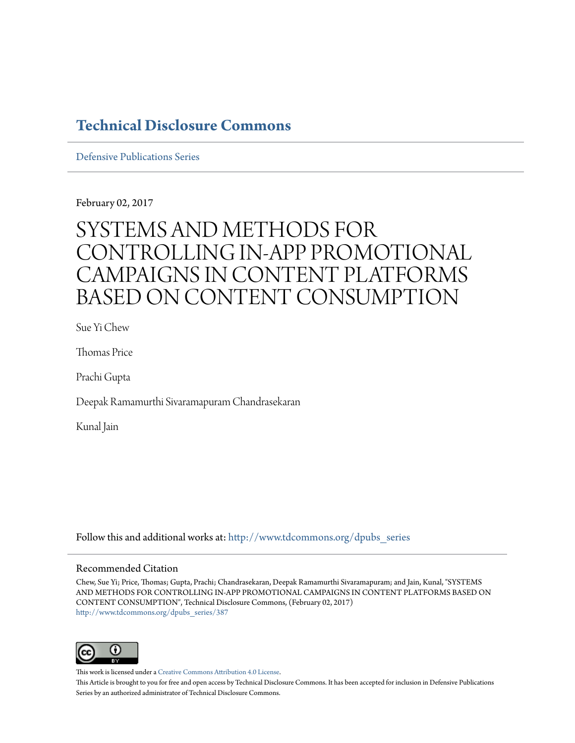# **[Technical Disclosure Commons](http://www.tdcommons.org?utm_source=www.tdcommons.org%2Fdpubs_series%2F387&utm_medium=PDF&utm_campaign=PDFCoverPages)**

[Defensive Publications Series](http://www.tdcommons.org/dpubs_series?utm_source=www.tdcommons.org%2Fdpubs_series%2F387&utm_medium=PDF&utm_campaign=PDFCoverPages)

February 02, 2017

# SYSTEMS AND METHODS FOR CONTROLLING IN-APP PROMOTIONAL CAMPAIGNS IN CONTENT PLATFORMS BASED ON CONTENT CONSUMPTION

Sue Yi Chew

Thomas Price

Prachi Gupta

Deepak Ramamurthi Sivaramapuram Chandrasekaran

Kunal Jain

Follow this and additional works at: [http://www.tdcommons.org/dpubs\\_series](http://www.tdcommons.org/dpubs_series?utm_source=www.tdcommons.org%2Fdpubs_series%2F387&utm_medium=PDF&utm_campaign=PDFCoverPages)

#### Recommended Citation

Chew, Sue Yi; Price, Thomas; Gupta, Prachi; Chandrasekaran, Deepak Ramamurthi Sivaramapuram; and Jain, Kunal, "SYSTEMS AND METHODS FOR CONTROLLING IN-APP PROMOTIONAL CAMPAIGNS IN CONTENT PLATFORMS BASED ON CONTENT CONSUMPTION", Technical Disclosure Commons, (February 02, 2017) [http://www.tdcommons.org/dpubs\\_series/387](http://www.tdcommons.org/dpubs_series/387?utm_source=www.tdcommons.org%2Fdpubs_series%2F387&utm_medium=PDF&utm_campaign=PDFCoverPages)



This work is licensed under a [Creative Commons Attribution 4.0 License.](http://creativecommons.org/licenses/by/4.0/deed.en_US) This Article is brought to you for free and open access by Technical Disclosure Commons. It has been accepted for inclusion in Defensive Publications Series by an authorized administrator of Technical Disclosure Commons.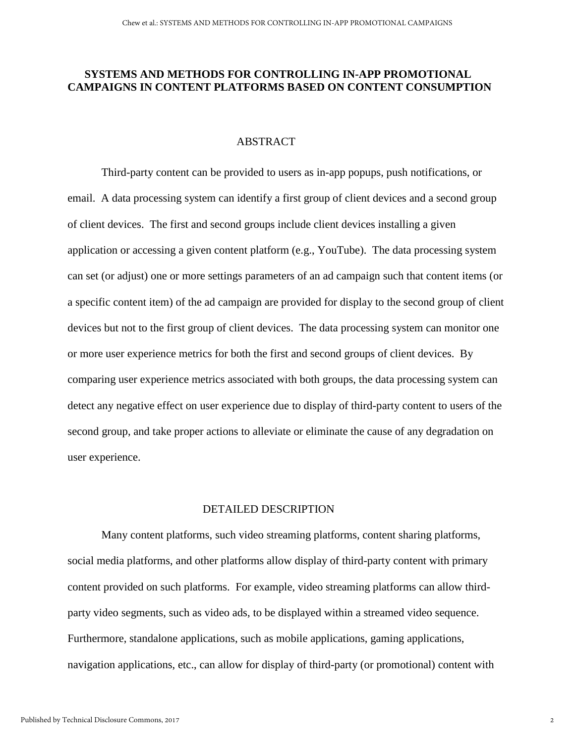## **SYSTEMS AND METHODS FOR CONTROLLING IN-APP PROMOTIONAL CAMPAIGNS IN CONTENT PLATFORMS BASED ON CONTENT CONSUMPTION**

### ABSTRACT

Third-party content can be provided to users as in-app popups, push notifications, or email. A data processing system can identify a first group of client devices and a second group of client devices. The first and second groups include client devices installing a given application or accessing a given content platform (e.g., YouTube). The data processing system can set (or adjust) one or more settings parameters of an ad campaign such that content items (or a specific content item) of the ad campaign are provided for display to the second group of client devices but not to the first group of client devices. The data processing system can monitor one or more user experience metrics for both the first and second groups of client devices. By comparing user experience metrics associated with both groups, the data processing system can detect any negative effect on user experience due to display of third-party content to users of the second group, and take proper actions to alleviate or eliminate the cause of any degradation on user experience.

#### DETAILED DESCRIPTION

Many content platforms, such video streaming platforms, content sharing platforms, social media platforms, and other platforms allow display of third-party content with primary content provided on such platforms. For example, video streaming platforms can allow thirdparty video segments, such as video ads, to be displayed within a streamed video sequence. Furthermore, standalone applications, such as mobile applications, gaming applications, navigation applications, etc., can allow for display of third-party (or promotional) content with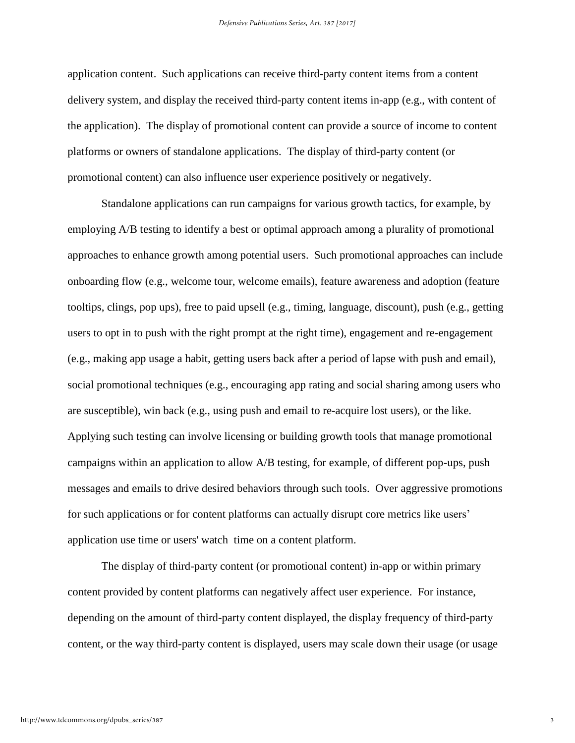application content. Such applications can receive third-party content items from a content delivery system, and display the received third-party content items in-app (e.g., with content of the application). The display of promotional content can provide a source of income to content platforms or owners of standalone applications. The display of third-party content (or promotional content) can also influence user experience positively or negatively.

Standalone applications can run campaigns for various growth tactics, for example, by employing A/B testing to identify a best or optimal approach among a plurality of promotional approaches to enhance growth among potential users. Such promotional approaches can include onboarding flow (e.g., welcome tour, welcome emails), feature awareness and adoption (feature tooltips, clings, pop ups), free to paid upsell (e.g., timing, language, discount), push (e.g., getting users to opt in to push with the right prompt at the right time), engagement and re-engagement (e.g., making app usage a habit, getting users back after a period of lapse with push and email), social promotional techniques (e.g., encouraging app rating and social sharing among users who are susceptible), win back (e.g., using push and email to re-acquire lost users), or the like. Applying such testing can involve licensing or building growth tools that manage promotional campaigns within an application to allow A/B testing, for example, of different pop-ups, push messages and emails to drive desired behaviors through such tools. Over aggressive promotions for such applications or for content platforms can actually disrupt core metrics like users' application use time or users' watch time on a content platform.

The display of third-party content (or promotional content) in-app or within primary content provided by content platforms can negatively affect user experience. For instance, depending on the amount of third-party content displayed, the display frequency of third-party content, or the way third-party content is displayed, users may scale down their usage (or usage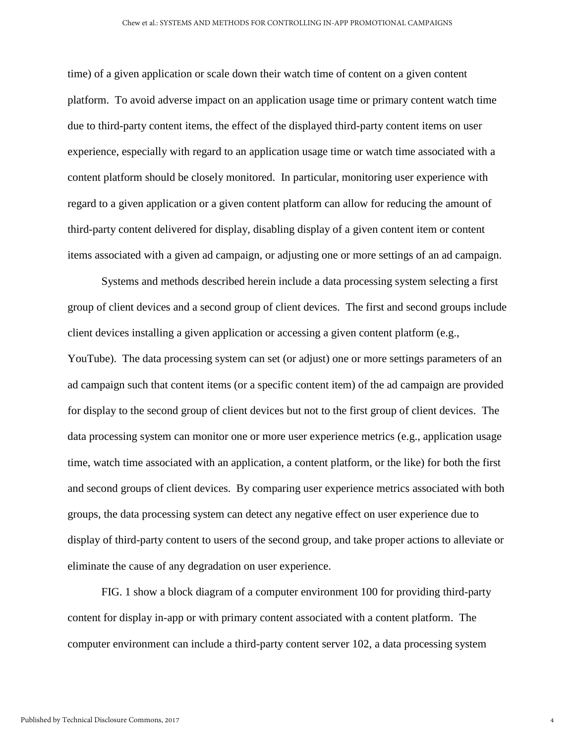time) of a given application or scale down their watch time of content on a given content platform. To avoid adverse impact on an application usage time or primary content watch time due to third-party content items, the effect of the displayed third-party content items on user experience, especially with regard to an application usage time or watch time associated with a content platform should be closely monitored. In particular, monitoring user experience with regard to a given application or a given content platform can allow for reducing the amount of third-party content delivered for display, disabling display of a given content item or content items associated with a given ad campaign, or adjusting one or more settings of an ad campaign.

Systems and methods described herein include a data processing system selecting a first group of client devices and a second group of client devices. The first and second groups include client devices installing a given application or accessing a given content platform (e.g., YouTube). The data processing system can set (or adjust) one or more settings parameters of an ad campaign such that content items (or a specific content item) of the ad campaign are provided for display to the second group of client devices but not to the first group of client devices. The data processing system can monitor one or more user experience metrics (e.g., application usage time, watch time associated with an application, a content platform, or the like) for both the first and second groups of client devices. By comparing user experience metrics associated with both groups, the data processing system can detect any negative effect on user experience due to display of third-party content to users of the second group, and take proper actions to alleviate or eliminate the cause of any degradation on user experience.

FIG. 1 show a block diagram of a computer environment 100 for providing third-party content for display in-app or with primary content associated with a content platform. The computer environment can include a third-party content server 102, a data processing system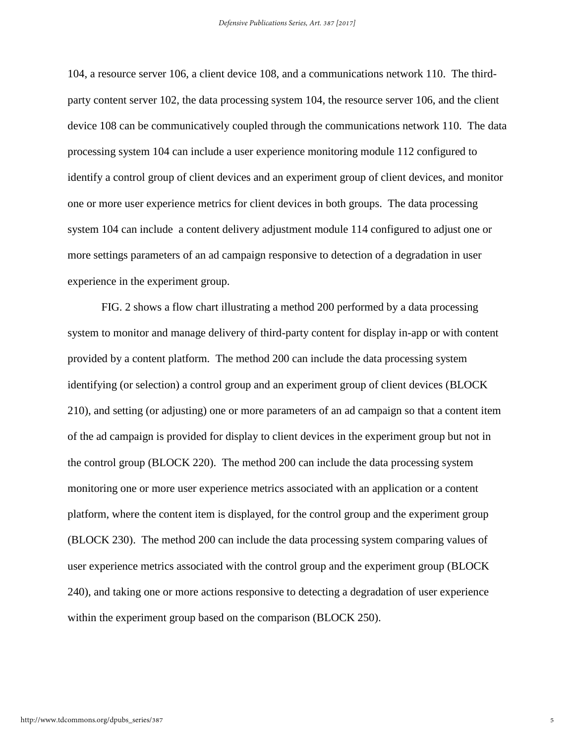104, a resource server 106, a client device 108, and a communications network 110. The thirdparty content server 102, the data processing system 104, the resource server 106, and the client device 108 can be communicatively coupled through the communications network 110. The data processing system 104 can include a user experience monitoring module 112 configured to identify a control group of client devices and an experiment group of client devices, and monitor one or more user experience metrics for client devices in both groups. The data processing system 104 can include a content delivery adjustment module 114 configured to adjust one or more settings parameters of an ad campaign responsive to detection of a degradation in user experience in the experiment group.

FIG. 2 shows a flow chart illustrating a method 200 performed by a data processing system to monitor and manage delivery of third-party content for display in-app or with content provided by a content platform. The method 200 can include the data processing system identifying (or selection) a control group and an experiment group of client devices (BLOCK 210), and setting (or adjusting) one or more parameters of an ad campaign so that a content item of the ad campaign is provided for display to client devices in the experiment group but not in the control group (BLOCK 220). The method 200 can include the data processing system monitoring one or more user experience metrics associated with an application or a content platform, where the content item is displayed, for the control group and the experiment group (BLOCK 230). The method 200 can include the data processing system comparing values of user experience metrics associated with the control group and the experiment group (BLOCK 240), and taking one or more actions responsive to detecting a degradation of user experience within the experiment group based on the comparison (BLOCK 250).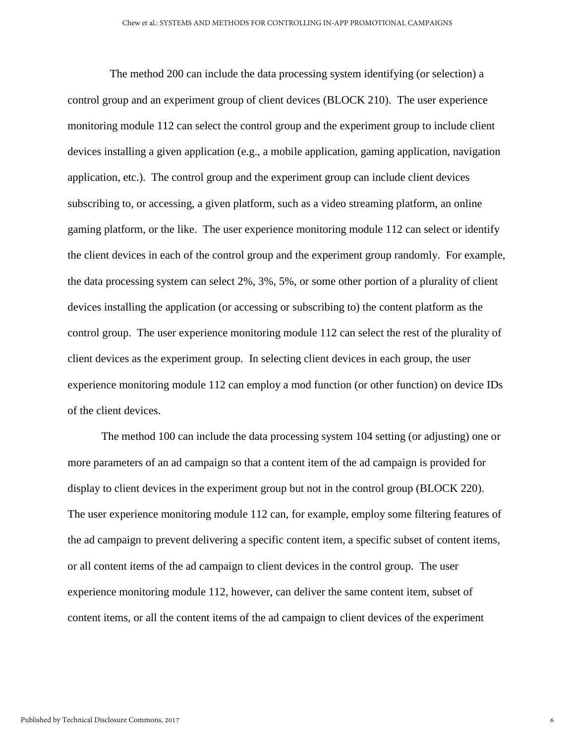The method 200 can include the data processing system identifying (or selection) a control group and an experiment group of client devices (BLOCK 210). The user experience monitoring module 112 can select the control group and the experiment group to include client devices installing a given application (e.g., a mobile application, gaming application, navigation application, etc.). The control group and the experiment group can include client devices subscribing to, or accessing, a given platform, such as a video streaming platform, an online gaming platform, or the like. The user experience monitoring module 112 can select or identify the client devices in each of the control group and the experiment group randomly. For example, the data processing system can select 2%, 3%, 5%, or some other portion of a plurality of client devices installing the application (or accessing or subscribing to) the content platform as the control group. The user experience monitoring module 112 can select the rest of the plurality of client devices as the experiment group. In selecting client devices in each group, the user experience monitoring module 112 can employ a mod function (or other function) on device IDs of the client devices.

The method 100 can include the data processing system 104 setting (or adjusting) one or more parameters of an ad campaign so that a content item of the ad campaign is provided for display to client devices in the experiment group but not in the control group (BLOCK 220). The user experience monitoring module 112 can, for example, employ some filtering features of the ad campaign to prevent delivering a specific content item, a specific subset of content items, or all content items of the ad campaign to client devices in the control group. The user experience monitoring module 112, however, can deliver the same content item, subset of content items, or all the content items of the ad campaign to client devices of the experiment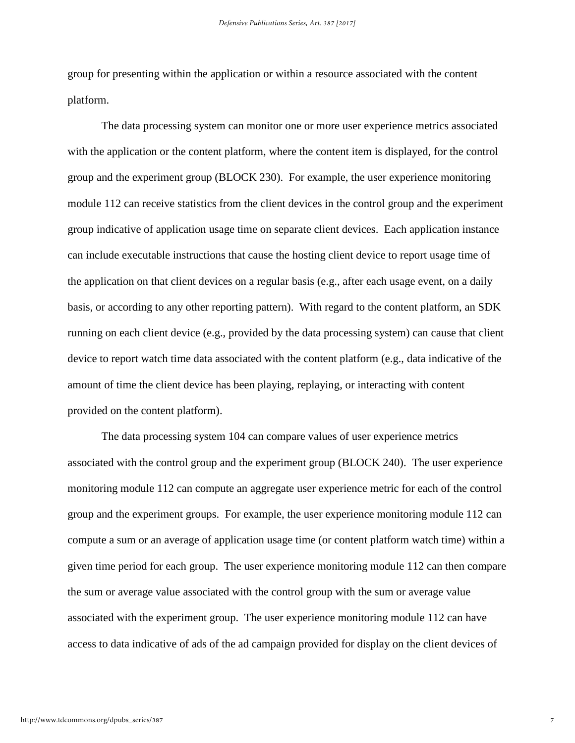group for presenting within the application or within a resource associated with the content platform.

The data processing system can monitor one or more user experience metrics associated with the application or the content platform, where the content item is displayed, for the control group and the experiment group (BLOCK 230). For example, the user experience monitoring module 112 can receive statistics from the client devices in the control group and the experiment group indicative of application usage time on separate client devices. Each application instance can include executable instructions that cause the hosting client device to report usage time of the application on that client devices on a regular basis (e.g., after each usage event, on a daily basis, or according to any other reporting pattern). With regard to the content platform, an SDK running on each client device (e.g., provided by the data processing system) can cause that client device to report watch time data associated with the content platform (e.g., data indicative of the amount of time the client device has been playing, replaying, or interacting with content provided on the content platform).

The data processing system 104 can compare values of user experience metrics associated with the control group and the experiment group (BLOCK 240). The user experience monitoring module 112 can compute an aggregate user experience metric for each of the control group and the experiment groups. For example, the user experience monitoring module 112 can compute a sum or an average of application usage time (or content platform watch time) within a given time period for each group. The user experience monitoring module 112 can then compare the sum or average value associated with the control group with the sum or average value associated with the experiment group. The user experience monitoring module 112 can have access to data indicative of ads of the ad campaign provided for display on the client devices of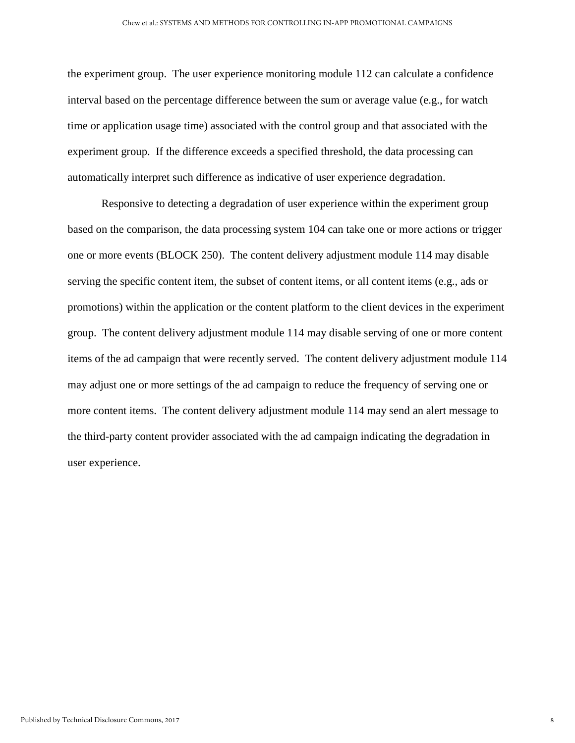the experiment group. The user experience monitoring module 112 can calculate a confidence interval based on the percentage difference between the sum or average value (e.g., for watch time or application usage time) associated with the control group and that associated with the experiment group. If the difference exceeds a specified threshold, the data processing can automatically interpret such difference as indicative of user experience degradation.

Responsive to detecting a degradation of user experience within the experiment group based on the comparison, the data processing system 104 can take one or more actions or trigger one or more events (BLOCK 250). The content delivery adjustment module 114 may disable serving the specific content item, the subset of content items, or all content items (e.g., ads or promotions) within the application or the content platform to the client devices in the experiment group. The content delivery adjustment module 114 may disable serving of one or more content items of the ad campaign that were recently served. The content delivery adjustment module 114 may adjust one or more settings of the ad campaign to reduce the frequency of serving one or more content items. The content delivery adjustment module 114 may send an alert message to the third-party content provider associated with the ad campaign indicating the degradation in user experience.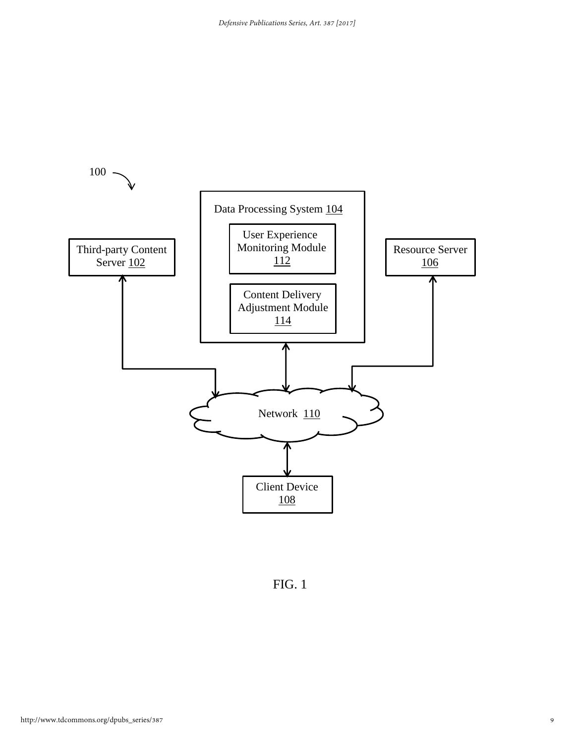

FIG. 1